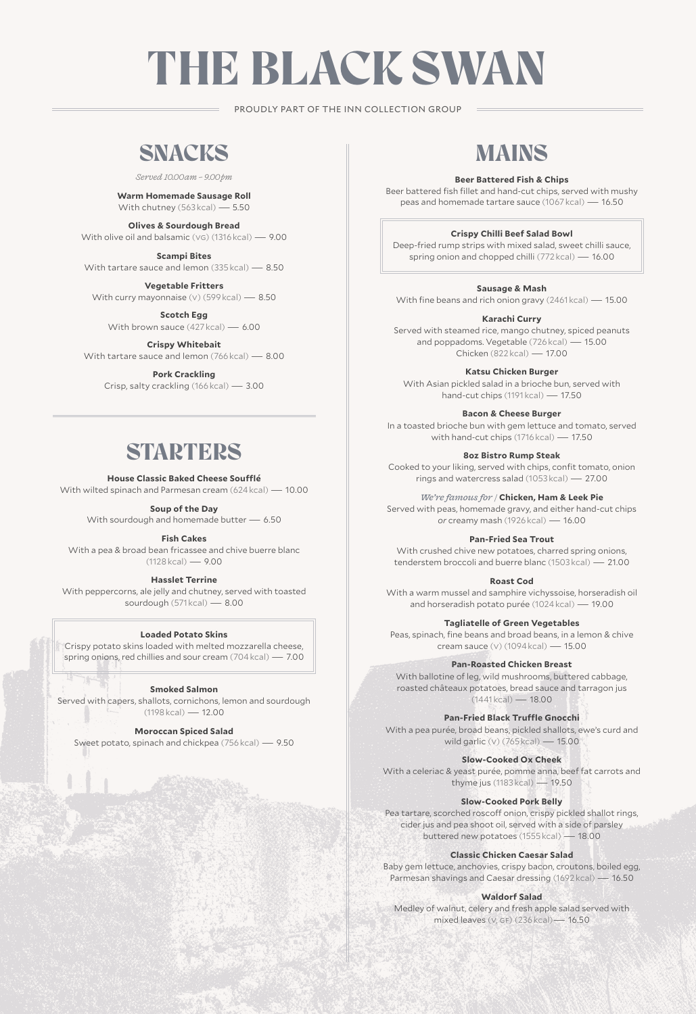# THE BLACK SWAN

PROUDLY PART OF THE INN COLLECTION GROUP

# SNACKS

*Served 10.00am – 9.00pm* 

#### **Warm Homemade Sausage Roll** With chutney (563 kcal) — 5.50

**Olives & Sourdough Bread** With olive oil and balsamic (vg) (1316 kcal) — 9.00

**Scampi Bites** With tartare sauce and lemon (335 kcal) — 8.50

**Vegetable Fritters** With curry mayonnaise (v) (599 kcal) - 8.50

**Scotch Egg** With brown sauce (427 kcal) — 6.00

**Crispy Whitebait** With tartare sauce and lemon (766 kcal) — 8.00

#### **Pork Crackling** Crisp, salty crackling (166 kcal) — 3.00

### **STARTERS**

#### **House Classic Baked Cheese Soufflé**

With wilted spinach and Parmesan cream (624 kcal) — 10.00

**Soup of the Day** 

With sourdough and homemade butter — 6.50

**Fish Cakes**

With a pea & broad bean fricassee and chive buerre blanc  $(1128 \text{ kcal}) - 9.00$ 

#### **Hasslet Terrine**

With peppercorns, ale jelly and chutney, served with toasted sourdough (571 kcal) — 8.00

#### **Loaded Potato Skins**

Crispy potato skins loaded with melted mozzarella cheese, spring onions, red chillies and sour cream (704 kcal) — 7.00

٦Æ

#### **Smoked Salmon**

Served with capers, shallots, cornichons, lemon and sourdough  $(1198 \text{ kcal}) - 12.00$ 

#### **Moroccan Spiced Salad**

Sweet potato, spinach and chickpea (756 kcal) — 9.50

# MAINS

#### **Beer Battered Fish & Chips**

Beer battered fish fillet and hand-cut chips, served with mushy peas and homemade tartare sauce (1067 kcal) — 16.50

#### **Crispy Chilli Beef Salad Bowl**

Deep-fried rump strips with mixed salad, sweet chilli sauce, spring onion and chopped chilli (772 kcal) — 16.00

#### **Sausage & Mash**

With fine beans and rich onion gravy (2461 kcal) — 15.00

#### **Karachi Curry**

Served with steamed rice, mango chutney, spiced peanuts and poppadoms. Vegetable (726 kcal) — 15.00 Chicken (822 kcal) — 17.00

#### **Katsu Chicken Burger**

With Asian pickled salad in a brioche bun, served with hand-cut chips (1191 kcal) — 17.50

#### **Bacon & Cheese Burger**

In a toasted brioche bun with gem lettuce and tomato, served with hand-cut chips (1716 kcal) — 17.50

#### **8oz Bistro Rump Steak**

Cooked to your liking, served with chips, confit tomato, onion rings and watercress salad (1053 kcal) — 27.00

*We're famous for /* **Chicken, Ham & Leek Pie** 

Served with peas, homemade gravy, and either hand-cut chips *or* creamy mash (1926 kcal) — 16.00

#### **Pan-Fried Sea Trout**

With crushed chive new potatoes, charred spring onions, tenderstem broccoli and buerre blanc (1503 kcal) — 21.00

#### **Roast Cod**

With a warm mussel and samphire vichyssoise, horseradish oil and horseradish potato purée (1024 kcal) — 19.00

#### **Tagliatelle of Green Vegetables**

Peas, spinach, fine beans and broad beans, in a lemon & chive cream sauce (v) (1094 kcal) — 15.00

#### **Pan-Roasted Chicken Breast**

With ballotine of leg, wild mushrooms, buttered cabbage, roasted châteaux potatoes, bread sauce and tarragon jus  $(1441kcal) - 18.00$ 

#### **Pan-Fried Black Truffle Gnocchi**

With a pea purée, broad beans, pickled shallots, ewe's curd and wild garlic (v) (765 kcal) — 15.00

#### **Slow-Cooked Ox Cheek**

With a celeriac & yeast purée, pomme anna, beef fat carrots and thyme jus (1183 kcal) — 19.50

#### **Slow-Cooked Pork Belly**

Pea tartare, scorched roscoff onion, crispy pickled shallot rings, cider jus and pea shoot oil, served with a side of parsley buttered new potatoes (1555 kcal) — 18.00

#### **Classic Chicken Caesar Salad**

Baby gem lettuce, anchovies, crispy bacon, croutons, boiled egg, Parmesan shavings and Caesar dressing (1692 kcal) — 16.50

#### **Waldorf Salad**

Medley of walnut, celery and fresh apple salad served with mixed leaves (v, gf) (236 kcal)— 16.50